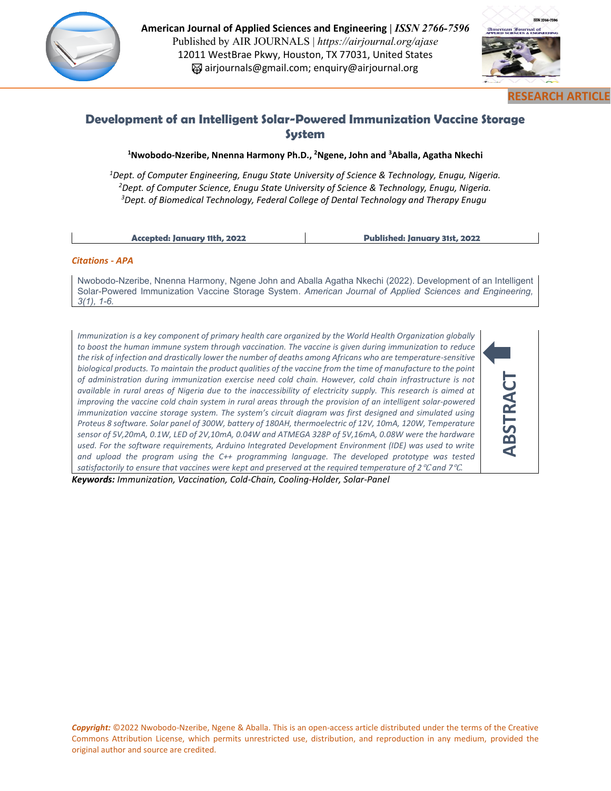

**American Journal of Applied Sciences and Engineering |** *ISSN 2766-7596*  Published by AIR JOURNALS | *https://airjournal.org/ajase* 12011 WestBrae Pkwy, Houston, TX 77031, United States airjournals@gmail.com; enquiry@airjournal.org



# **Development of an Intelligent Solar-Powered Immunization Vaccine Storage System**

**<sup>1</sup>Nwobodo-Nzeribe, Nnenna Harmony Ph.D., <sup>2</sup>Ngene, John and <sup>3</sup>Aballa, Agatha Nkechi**

*<sup>1</sup>Dept. of Computer Engineering, Enugu State University of Science & Technology, Enugu, Nigeria. <sup>2</sup>Dept. of Computer Science, Enugu State University of Science & Technology, Enugu, Nigeria. <sup>3</sup>Dept. of Biomedical Technology, Federal College of Dental Technology and Therapy Enugu* 

**Accepted: January 11th, 2022 Published: January 31st, 2022**

#### *Citations - APA*

Nwobodo-Nzeribe, Nnenna Harmony, Ngene John and Aballa Agatha Nkechi (2022). Development of an Intelligent Solar-Powered Immunization Vaccine Storage System. *American Journal of Applied Sciences and Engineering, 3(1), 1-6.*

*Immunization is a key component of primary health care organized by the World Health Organization globally to boost the human immune system through vaccination. The vaccine is given during immunization to reduce the risk of infection and drastically lower the number of deaths among Africans who are temperature-sensitive biological products. To maintain the product qualities of the vaccine from the time of manufacture to the point of administration during immunization exercise need cold chain. However, cold chain infrastructure is not available in rural areas of Nigeria due to the inaccessibility of electricity supply. This research is aimed at improving the vaccine cold chain system in rural areas through the provision of an intelligent solar-powered immunization vaccine storage system. The system's circuit diagram was first designed and simulated using Proteus 8 software. Solar panel of 300W, battery of 180AH, thermoelectric of 12V, 10mA, 120W, Temperature sensor of 5V,20mA, 0.1W, LED of 2V,10mA, 0.04W and ATMEGA 328P of 5V,16mA, 0.08W were the hardware*  used. For the software requirements, Arduino Integrated Development Environment (IDE) was used to write *and upload the program using the C++ programming language. The developed prototype was tested satisfactorily to ensure that vaccines were kept and preserved at the required temperature of 2*℃ *and 7*℃*.*



*Keywords: Immunization, Vaccination, Cold-Chain, Cooling-Holder, Solar-Panel*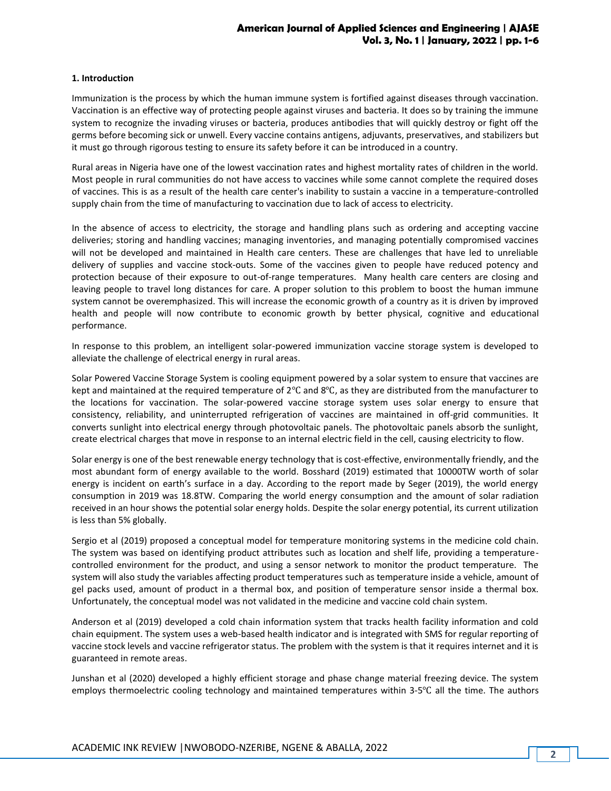#### **1. Introduction**

Immunization is the process by which the human immune system is fortified against diseases through vaccination. Vaccination is an effective way of protecting people against viruses and bacteria. It does so by training the immune system to recognize the invading viruses or bacteria, produces antibodies that will quickly destroy or fight off the germs before becoming sick or unwell. Every vaccine contains antigens, adjuvants, preservatives, and stabilizers but it must go through rigorous testing to ensure its safety before it can be introduced in a country.

Rural areas in Nigeria have one of the lowest vaccination rates and highest mortality rates of children in the world. Most people in rural communities do not have access to vaccines while some cannot complete the required doses of vaccines. This is as a result of the health care center's inability to sustain a vaccine in a temperature-controlled supply chain from the time of manufacturing to vaccination due to lack of access to electricity.

In the absence of access to electricity, the storage and handling plans such as ordering and accepting vaccine deliveries; storing and handling vaccines; managing inventories, and managing potentially compromised vaccines will not be developed and maintained in Health care centers. These are challenges that have led to unreliable delivery of supplies and vaccine stock-outs. Some of the vaccines given to people have reduced potency and protection because of their exposure to out-of-range temperatures. Many health care centers are closing and leaving people to travel long distances for care. A proper solution to this problem to boost the human immune system cannot be overemphasized. This will increase the economic growth of a country as it is driven by improved health and people will now contribute to economic growth by better physical, cognitive and educational performance.

In response to this problem, an intelligent solar-powered immunization vaccine storage system is developed to alleviate the challenge of electrical energy in rural areas.

Solar Powered Vaccine Storage System is cooling equipment powered by a solar system to ensure that vaccines are kept and maintained at the required temperature of 2℃ and 8℃, as they are distributed from the manufacturer to the locations for vaccination. The solar-powered vaccine storage system uses solar energy to ensure that consistency, reliability, and uninterrupted refrigeration of vaccines are maintained in off-grid communities. It converts sunlight into electrical energy through photovoltaic panels. The photovoltaic panels absorb the sunlight, create electrical charges that move in response to an internal electric field in the cell, causing electricity to flow.

Solar energy is one of the best renewable energy technology that is cost-effective, environmentally friendly, and the most abundant form of energy available to the world. Bosshard (2019) estimated that 10000TW worth of solar energy is incident on earth's surface in a day. According to the report made by Seger (2019), the world energy consumption in 2019 was 18.8TW. Comparing the world energy consumption and the amount of solar radiation received in an hour shows the potential solar energy holds. Despite the solar energy potential, its current utilization is less than 5% globally.

Sergio et al (2019) proposed a conceptual model for temperature monitoring systems in the medicine cold chain. The system was based on identifying product attributes such as location and shelf life, providing a temperaturecontrolled environment for the product, and using a sensor network to monitor the product temperature. The system will also study the variables affecting product temperatures such as temperature inside a vehicle, amount of gel packs used, amount of product in a thermal box, and position of temperature sensor inside a thermal box. Unfortunately, the conceptual model was not validated in the medicine and vaccine cold chain system.

Anderson et al (2019) developed a cold chain information system that tracks health facility information and cold chain equipment. The system uses a web-based health indicator and is integrated with SMS for regular reporting of vaccine stock levels and vaccine refrigerator status. The problem with the system is that it requires internet and it is guaranteed in remote areas.

Junshan et al (2020) developed a highly efficient storage and phase change material freezing device. The system employs thermoelectric cooling technology and maintained temperatures within 3-5℃ all the time. The authors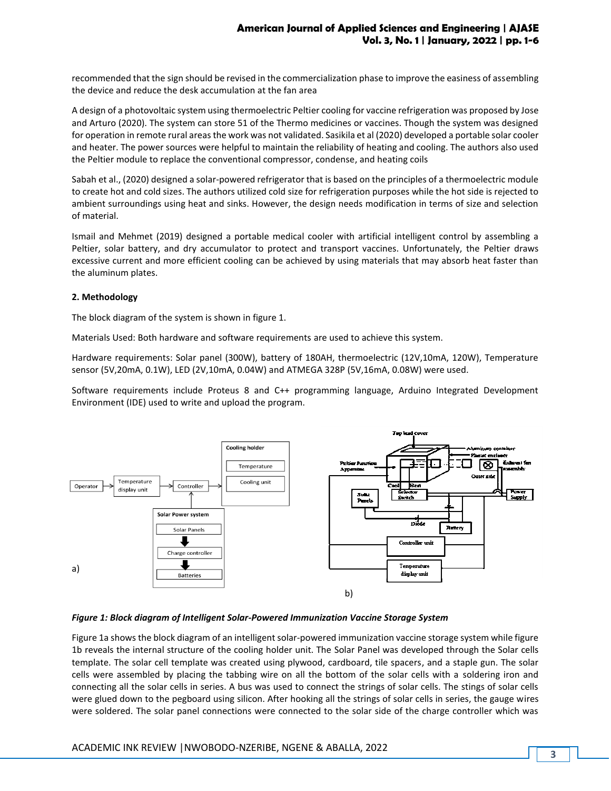recommended that the sign should be revised in the commercialization phase to improve the easiness of assembling the device and reduce the desk accumulation at the fan area

A design of a photovoltaic system using thermoelectric Peltier cooling for vaccine refrigeration was proposed by Jose and Arturo (2020). The system can store 51 of the Thermo medicines or vaccines. Though the system was designed for operation in remote rural areas the work was not validated. Sasikila et al (2020) developed a portable solar cooler and heater. The power sources were helpful to maintain the reliability of heating and cooling. The authors also used the Peltier module to replace the conventional compressor, condense, and heating coils

Sabah et al., (2020) designed a solar-powered refrigerator that is based on the principles of a thermoelectric module to create hot and cold sizes. The authors utilized cold size for refrigeration purposes while the hot side is rejected to ambient surroundings using heat and sinks. However, the design needs modification in terms of size and selection of material.

Ismail and Mehmet (2019) designed a portable medical cooler with artificial intelligent control by assembling a Peltier, solar battery, and dry accumulator to protect and transport vaccines. Unfortunately, the Peltier draws excessive current and more efficient cooling can be achieved by using materials that may absorb heat faster than the aluminum plates.

### **2. Methodology**

The block diagram of the system is shown in figure 1.

Materials Used: Both hardware and software requirements are used to achieve this system.

Hardware requirements: Solar panel (300W), battery of 180AH, thermoelectric (12V,10mA, 120W), Temperature sensor (5V,20mA, 0.1W), LED (2V,10mA, 0.04W) and ATMEGA 328P (5V,16mA, 0.08W) were used.

Software requirements include Proteus 8 and C++ programming language, Arduino Integrated Development Environment (IDE) used to write and upload the program.



### *Figure 1: Block diagram of Intelligent Solar-Powered Immunization Vaccine Storage System*

Figure 1a shows the block diagram of an intelligent solar-powered immunization vaccine storage system while figure 1b reveals the internal structure of the cooling holder unit. The Solar Panel was developed through the Solar cells template. The solar cell template was created using plywood, cardboard, tile spacers, and a staple gun. The solar cells were assembled by placing the tabbing wire on all the bottom of the solar cells with a soldering iron and connecting all the solar cells in series. A bus was used to connect the strings of solar cells. The stings of solar cells were glued down to the pegboard using silicon. After hooking all the strings of solar cells in series, the gauge wires were soldered. The solar panel connections were connected to the solar side of the charge controller which was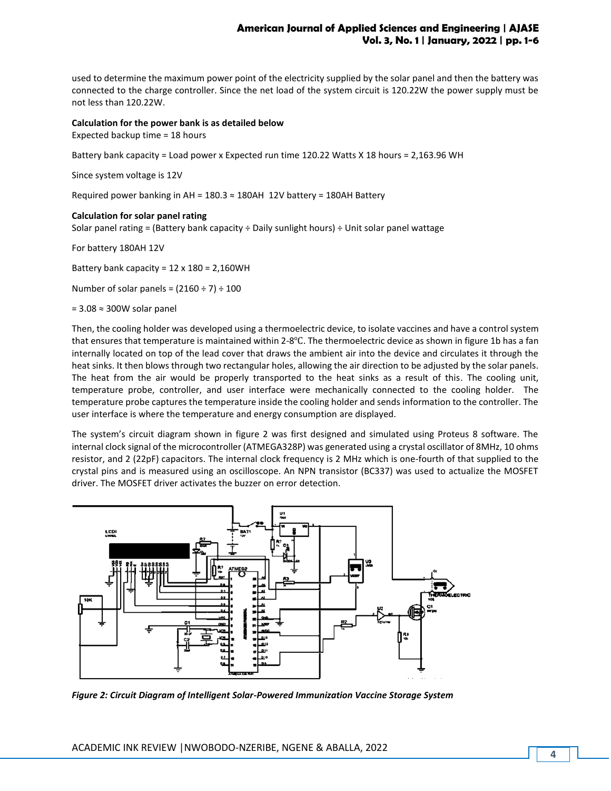## **American Journal of Applied Sciences and Engineering | AJASE Vol. 3, No. 1 | January, 2022 | pp. 1-6**

used to determine the maximum power point of the electricity supplied by the solar panel and then the battery was connected to the charge controller. Since the net load of the system circuit is 120.22W the power supply must be not less than 120.22W.

#### **Calculation for the power bank is as detailed below**

Expected backup time = 18 hours

Battery bank capacity = Load power x Expected run time 120.22 Watts X 18 hours = 2,163.96 WH

Since system voltage is 12V

Required power banking in AH =  $180.3 \approx 180$ AH  $12V$  battery = 180AH Battery

#### **Calculation for solar panel rating**

Solar panel rating = (Battery bank capacity ÷ Daily sunlight hours) ÷ Unit solar panel wattage

For battery 180AH 12V

Battery bank capacity = 12 x 180 = 2,160WH

Number of solar panels =  $(2160 \div 7) \div 100$ 

= 3.08 ≈ 300W solar panel

Then, the cooling holder was developed using a thermoelectric device, to isolate vaccines and have a control system that ensures that temperature is maintained within 2-8℃. The thermoelectric device as shown in figure 1b has a fan internally located on top of the lead cover that draws the ambient air into the device and circulates it through the heat sinks. It then blows through two rectangular holes, allowing the air direction to be adjusted by the solar panels. The heat from the air would be properly transported to the heat sinks as a result of this. The cooling unit, temperature probe, controller, and user interface were mechanically connected to the cooling holder. The temperature probe captures the temperature inside the cooling holder and sends information to the controller. The user interface is where the temperature and energy consumption are displayed.

The system's circuit diagram shown in figure 2 was first designed and simulated using Proteus 8 software. The internal clock signal of the microcontroller (ATMEGA328P) was generated using a crystal oscillator of 8MHz, 10 ohms resistor, and 2 (22pF) capacitors. The internal clock frequency is 2 MHz which is one-fourth of that supplied to the crystal pins and is measured using an oscilloscope. An NPN transistor (BC337) was used to actualize the MOSFET driver. The MOSFET driver activates the buzzer on error detection.



*Figure 2: Circuit Diagram of Intelligent Solar-Powered Immunization Vaccine Storage System*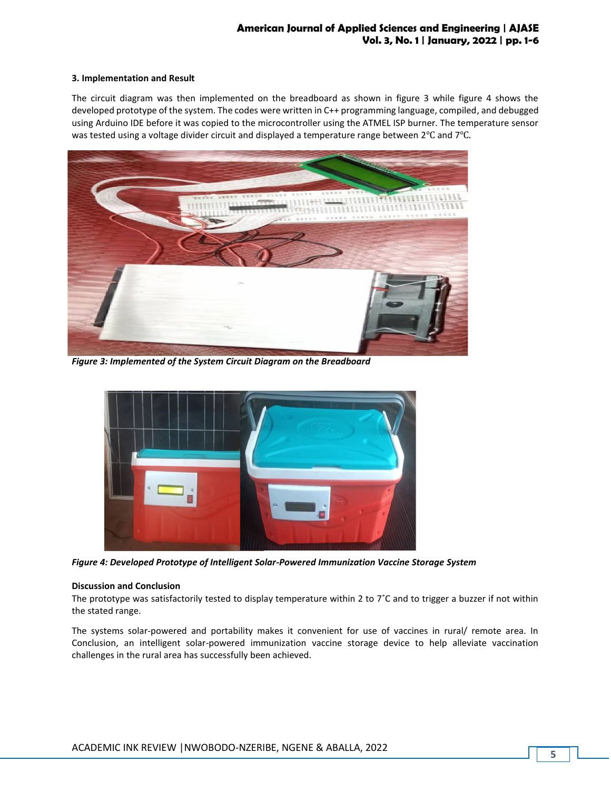## **American Journal of Applied Sciences and Engineering | AJASE Vol. 3, No. 1 | January, 2022 | pp. 1-6**

#### **3. Implementation and Result**

The circuit diagram was then implemented on the breadboard as shown in figure 3 while figure 4 shows the developed prototype of the system. The codes were written in C++ programming language, compiled, and debugged using Arduino IDE before it was copied to the microcontroller using the ATMEL ISP burner. The temperature sensor was tested using a voltage divider circuit and displayed a temperature range between 2℃ and 7℃.



*Figure 3: Implemented of the System Circuit Diagram on the Breadboard*



*Figure 4: Developed Prototype of Intelligent Solar-Powered Immunization Vaccine Storage System*

#### **Discussion and Conclusion**

The prototype was satisfactorily tested to display temperature within 2 to  $7^\circ$ C and to trigger a buzzer if not within the stated range.

The systems solar-powered and portability makes it convenient for use of vaccines in rural/ remote area. In Conclusion, an intelligent solar-powered immunization vaccine storage device to help alleviate vaccination challenges in the rural area has successfully been achieved.